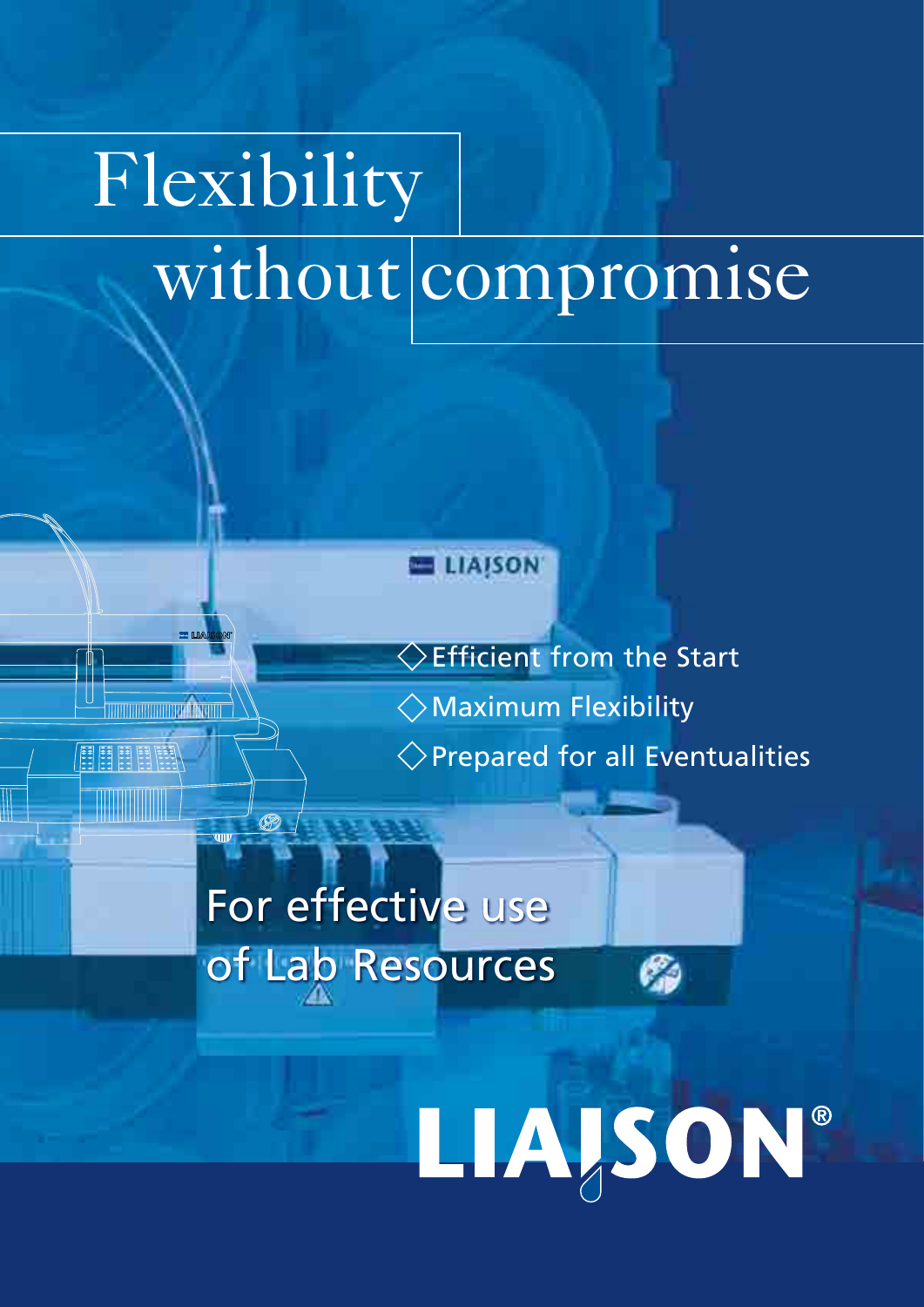# Flexibility Flexibility without compromise without compromise

## **ELIAISON**

Efficient from the Start Maximum Flexibility Maximum Flexibility Prepared for all Eventualities Prepared for all Eventualities

Ø

LIAJSON®

# For effective use For effective use of Lab Resources of Lab Resources

Ø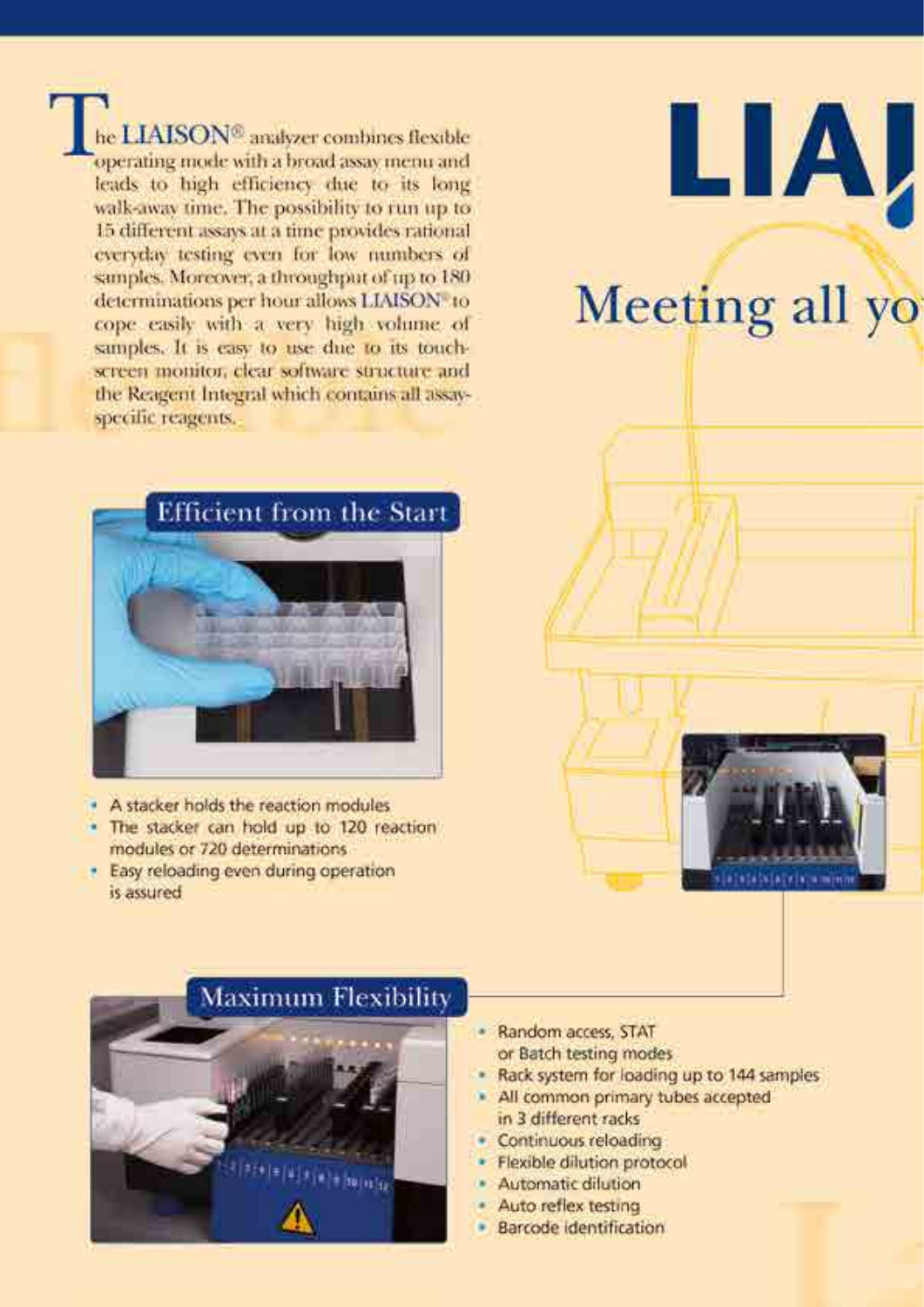he LIAISON<sup>®</sup> analyzer combines flexible operating mode with a broad assay menu and leads to high efficiency due to its long walk-away time. The possibility to run up to 15 different assays at a time provides rational everyday testing even for low numbers of samples. Moreover, a throughput of up to 180 determinations per hour allows LIAISON to cope easily with a very high volume of samples. It is easy to use due to its touchscreen monitor, clear software structure and the Reagent Integral which contains all assayspecific reagents.



la bilade la ministr



- A stacker holds the reaction modules
- . The stacker can hold up to 120 reaction modules or 720 determinations
- · Easy reloading even during operation is assured



- Random access: STAT or Batch testing modes
- Rack system for loading up to 144 samples
- · All common primary tubes accepted in 3 different racks
- · Continuous reloading
- · Flexible dilution protocol
- · Automatic dilution
- Auto reflex testing
- · Barcode Identification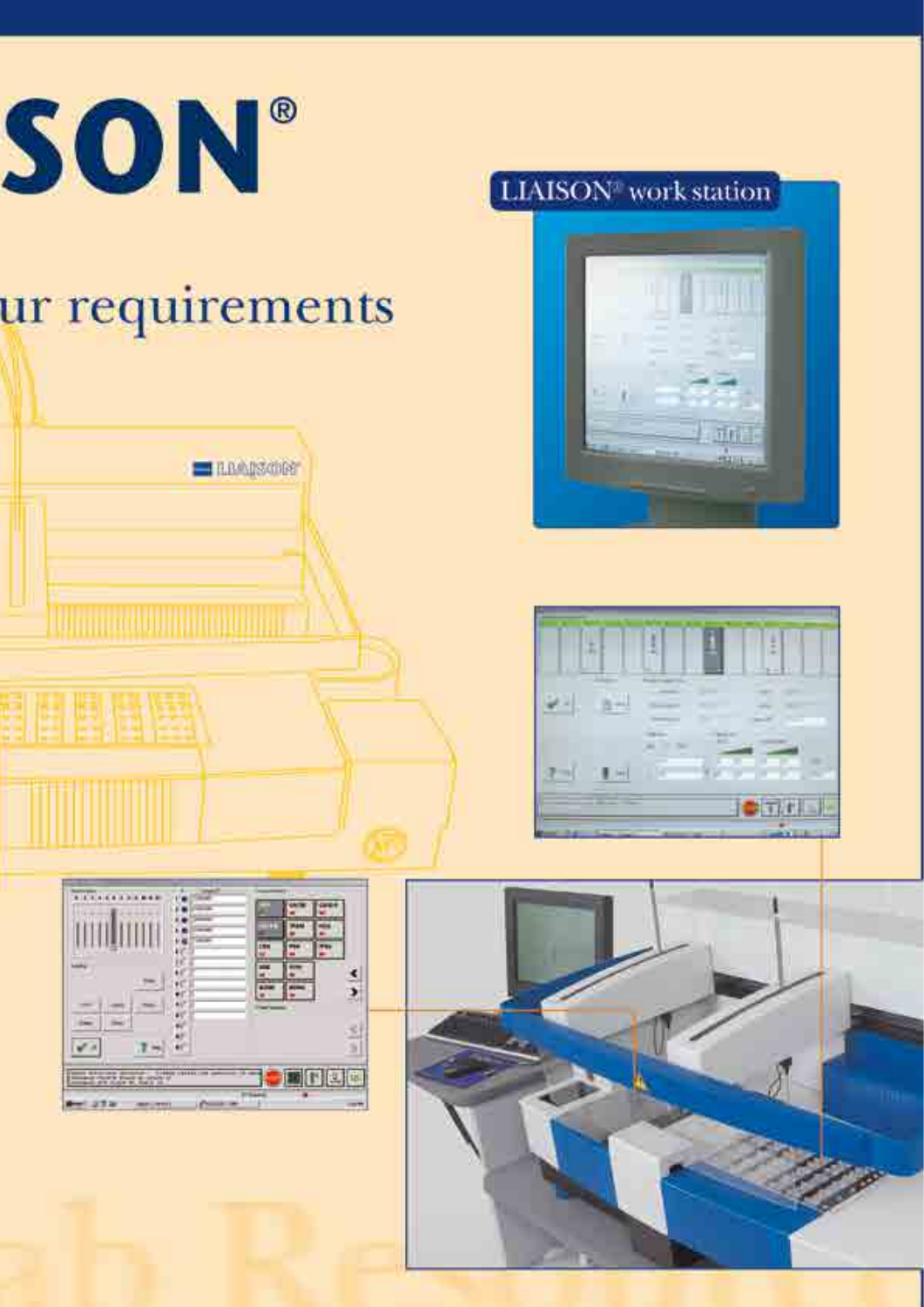

# ur requirements









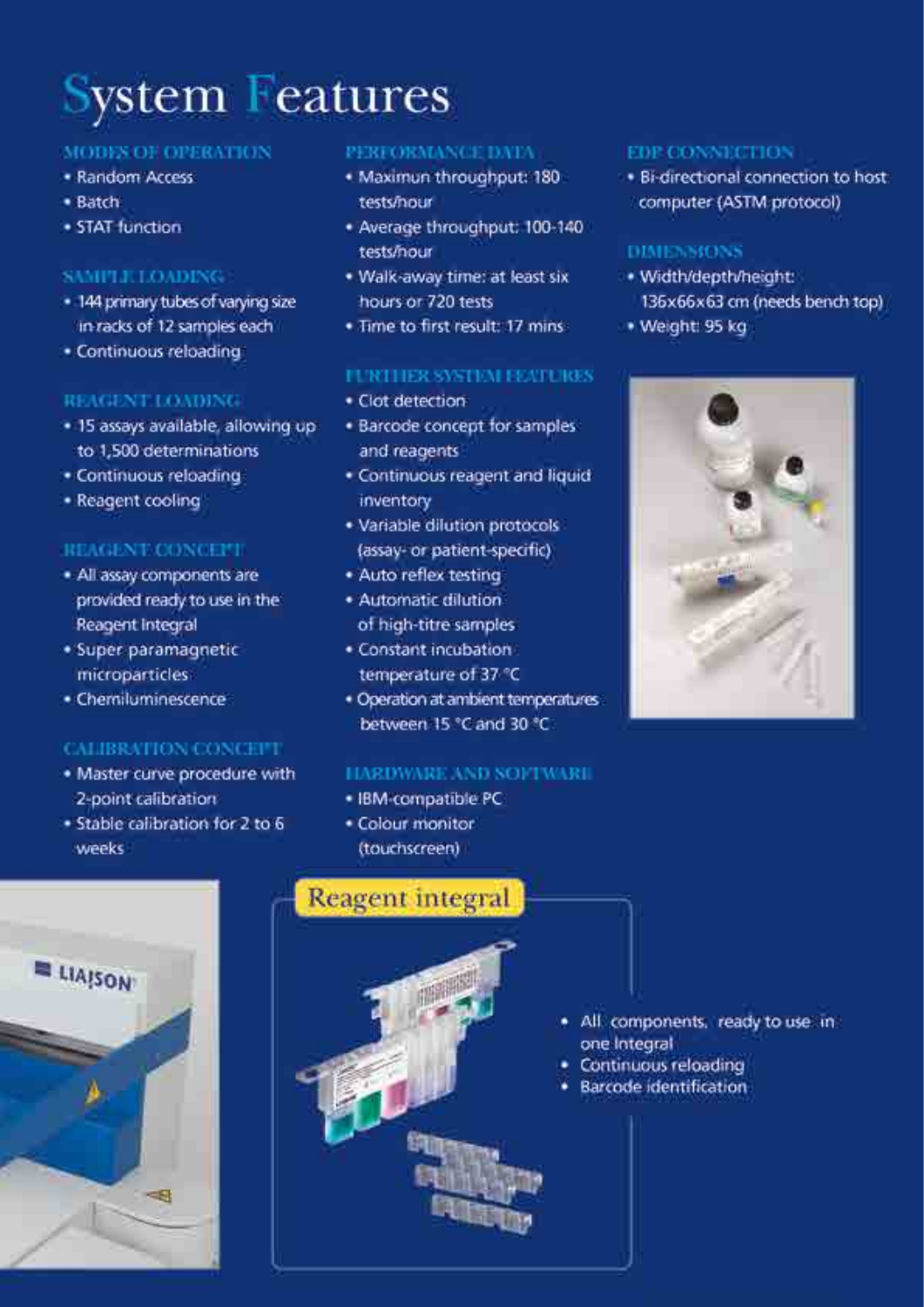# **System Features**

## **MODES OF OPERATION**

- · Random Access
- · Batch
- · STAT function

## **SAMPLICLOADING**

- · 144 primary tubes of varying size in racks of 12 samples each
- · Continuous reloading

## **REAGENT LOADING**

- · 15 assays available, allowing up to 1,500 determinations
- · Continuous reloading
- · Reagent cooling

## REAGENT CONCEPT

- · All assay components are provided ready to use in the Reagent Integral
- · Super paramagnetic microparticles
- · Chemiluminescence

## **CALIBRATION CONCEPT**

- . Master curve procedure with 2-point calibration
- · Stable calibration for 2 to 6 weeks

 $\Rightarrow$ 

 $\equiv$  LIAISON

### PERFORMANCE DATA

- · Maximun throughput: 180 tests/nour
- . Average throughput: 100-140 tests/nour
- . Walk-away time: at least six hours or 720 tests
- . Time to first result: 17 mins

## **FURTHER SYSTEM EEATURES**

- · Clot detection
- · Barcode concept for samples and reagents
- · Continuous reagent and liquid inventory
- · Variable dilution protocols (assay- or patient-specific)
- · Auto reflex testing
- · Automatic dilution of high-titre samples
- · Constant incubation temperature of 37 °C
- · Operation at ambient temperatures between 15 °C and 30 °C.

## HARDWARE AND SOFTWARI

- · IBM-compatible PC
- · Colour monitor (touchscreen)



## **EDP CONNECTION**

· Bi-directional connection to host computer (ASTM protocol)

## DIMENSIONS

- · Width/depth/height: 136x66x63 cm (needs bench top)
- · Weight: 95 kg



- All components, ready to use in one Integral
- Continuous reloading
- Barcode identification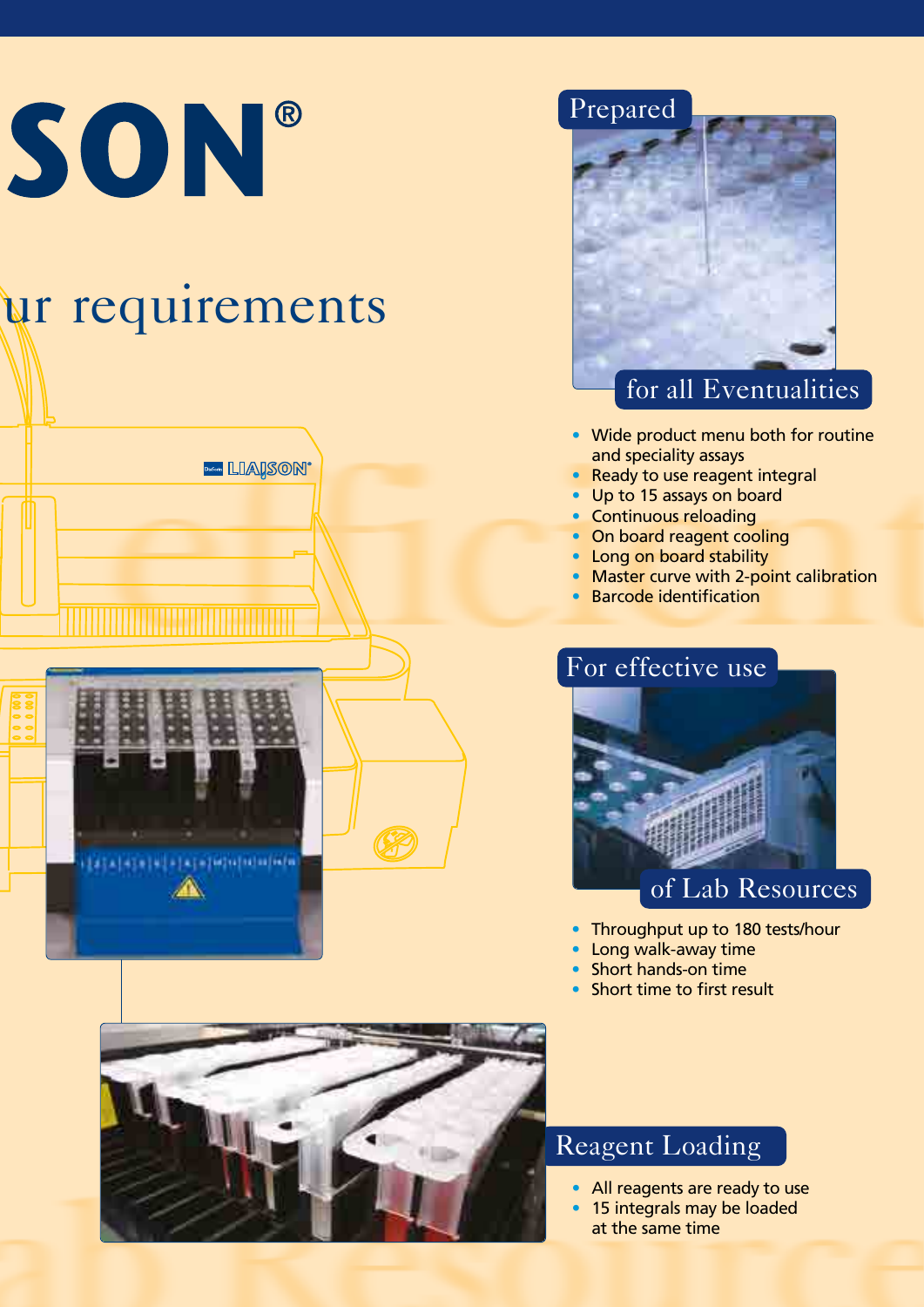# SON®

# ur requirements

**Dissure LIAISON** 





## for all Eventualities for all Eventualities

- Wide product menu both for routine Wide product menu both for routine and speciality assays and speciality assays
- Ready to use reagent integral Ready to use reagent integral
- Up to 15 assays on board Up to 15 assays on board
- Continuous reloading Continuous reloading
- On board reagent cooling On board reagent cooling
- Long on board stability Long on board stability
- Master curve with 2-point calibration Master curve with 2-point calibration
- Barcode identification

## For effective use For effective use



- Throughput up to 180 tests/hour Throughput up to 180 tests/hour
- Long walk-away time Long walk-away time
- Short hands-on time Short hands-on time
- Short time to first result



## Reagent Loading Reagent Loading

- All reagents are ready to use All reagents are ready to use
- 15 integrals may be loaded 15 integrals may be loaded at the same time at the same time